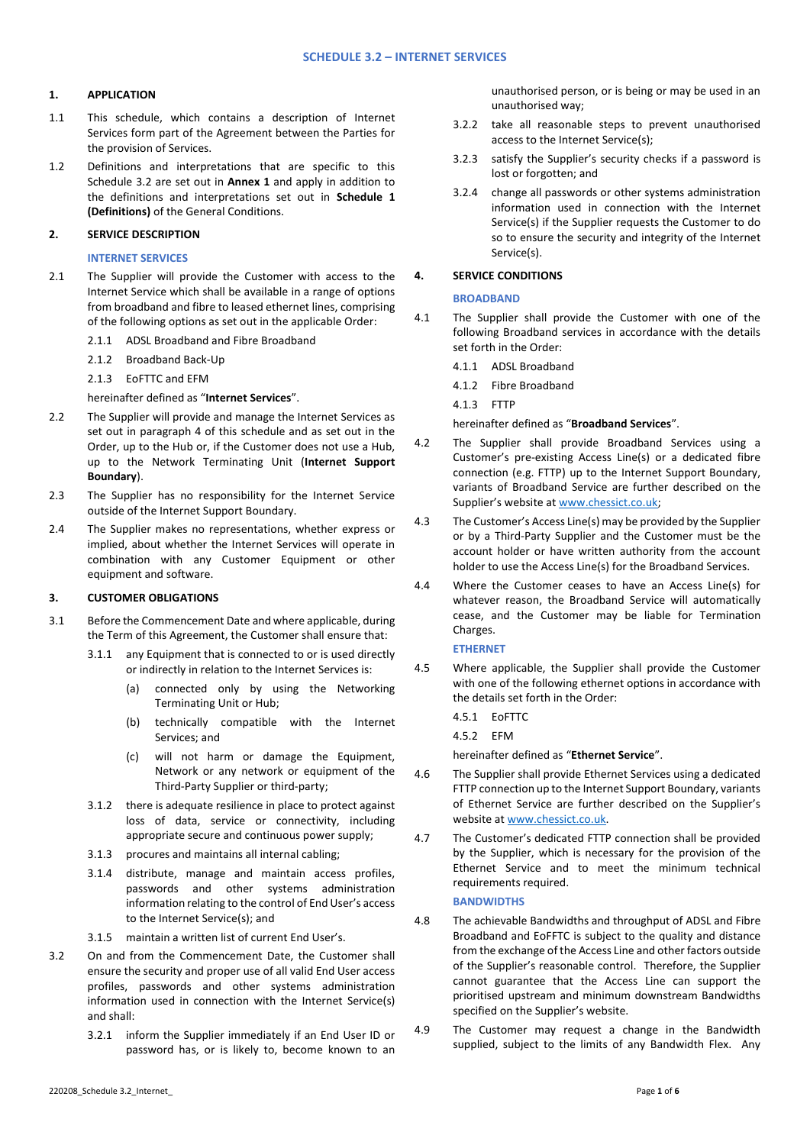## **1. APPLICATION**

- 1.1 This schedule, which contains a description of Internet Services form part of the Agreement between the Parties for the provision of Services.
- 1.2 Definitions and interpretations that are specific to this Schedule 3.2 are set out in **Annex 1** and apply in addition to the definitions and interpretations set out in **Schedule 1 (Definitions)** of the General Conditions.

## **2. SERVICE DESCRIPTION**

## **INTERNET SERVICES**

- 2.1 The Supplier will provide the Customer with access to the Internet Service which shall be available in a range of options from broadband and fibre to leased ethernet lines, comprising of the following options as set out in the applicable Order:
	- 2.1.1 ADSL Broadband and Fibre Broadband
	- 2.1.2 Broadband Back-Up

2.1.3 EoFTTC and EFM

### hereinafter defined as "**Internet Services**".

- 2.2 The Supplier will provide and manage the Internet Services as set out in paragraph [4](#page-0-0) of this schedule and as set out in the Order, up to the Hub or, if the Customer does not use a Hub, up to the Network Terminating Unit (**Internet Support Boundary**).
- 2.3 The Supplier has no responsibility for the Internet Service outside of the Internet Support Boundary.
- 2.4 The Supplier makes no representations, whether express or implied, about whether the Internet Services will operate in combination with any Customer Equipment or other equipment and software.

## **3. CUSTOMER OBLIGATIONS**

- 3.1 Before the Commencement Date and where applicable, during the Term of this Agreement, the Customer shall ensure that:
	- 3.1.1 any Equipment that is connected to or is used directly or indirectly in relation to the Internet Services is:
		- (a) connected only by using the Networking Terminating Unit or Hub;
		- (b) technically compatible with the Internet Services; and
		- (c) will not harm or damage the Equipment, Network or any network or equipment of the Third-Party Supplier or third-party;
	- 3.1.2 there is adequate resilience in place to protect against loss of data, service or connectivity, including appropriate secure and continuous power supply;
	- 3.1.3 procures and maintains all internal cabling;
	- 3.1.4 distribute, manage and maintain access profiles, passwords and other systems administration information relating to the control of End User's access to the Internet Service(s); and
	- 3.1.5 maintain a written list of current End User's.
- 3.2 On and from the Commencement Date, the Customer shall ensure the security and proper use of all valid End User access profiles, passwords and other systems administration information used in connection with the Internet Service(s) and shall:
	- 3.2.1 inform the Supplier immediately if an End User ID or password has, or is likely to, become known to an

unauthorised person, or is being or may be used in an unauthorised way;

- 3.2.2 take all reasonable steps to prevent unauthorised access to the Internet Service(s);
- 3.2.3 satisfy the Supplier's security checks if a password is lost or forgotten; and
- 3.2.4 change all passwords or other systems administration information used in connection with the Internet Service(s) if the Supplier requests the Customer to do so to ensure the security and integrity of the Internet Service(s).

# <span id="page-0-0"></span>**4. SERVICE CONDITIONS**

### **BROADBAND**

- 4.1 The Supplier shall provide the Customer with one of the following Broadband services in accordance with the details set forth in the Order:
	- 4.1.1 ADSL Broadband
	- 4.1.2 Fibre Broadband

4.1.3 FTTP

#### hereinafter defined as "**Broadband Services**".

- 4.2 The Supplier shall provide Broadband Services using a Customer's pre-existing Access Line(s) or a dedicated fibre connection (e.g. FTTP) up to the Internet Support Boundary, variants of Broadband Service are further described on the Supplier's website at [www.chessict.co.uk;](http://www.chessict.co.uk/)
- 4.3 The Customer's Access Line(s) may be provided by the Supplier or by a Third-Party Supplier and the Customer must be the account holder or have written authority from the account holder to use the Access Line(s) for the Broadband Services.
- 4.4 Where the Customer ceases to have an Access Line(s) for whatever reason, the Broadband Service will automatically cease, and the Customer may be liable for Termination Charges.

#### **ETHERNET**

- 4.5 Where applicable, the Supplier shall provide the Customer with one of the following ethernet options in accordance with the details set forth in the Order:
	- 4.5.1 EoFTTC
	- 4.5.2 EFM

hereinafter defined as "**Ethernet Service**".

- 4.6 The Supplier shall provide Ethernet Services using a dedicated FTTP connection up to the Internet Support Boundary, variants of Ethernet Service are further described on the Supplier's website at [www.chessict.co.uk.](http://www.chessict.co.uk/)
- 4.7 The Customer's dedicated FTTP connection shall be provided by the Supplier, which is necessary for the provision of the Ethernet Service and to meet the minimum technical requirements required.

#### **BANDWIDTHS**

- 4.8 The achievable Bandwidths and throughput of ADSL and Fibre Broadband and EoFFTC is subject to the quality and distance from the exchange of the Access Line and other factors outside of the Supplier's reasonable control. Therefore, the Supplier cannot guarantee that the Access Line can support the prioritised upstream and minimum downstream Bandwidths specified on the Supplier's website.
- 4.9 The Customer may request a change in the Bandwidth supplied, subject to the limits of any Bandwidth Flex. Any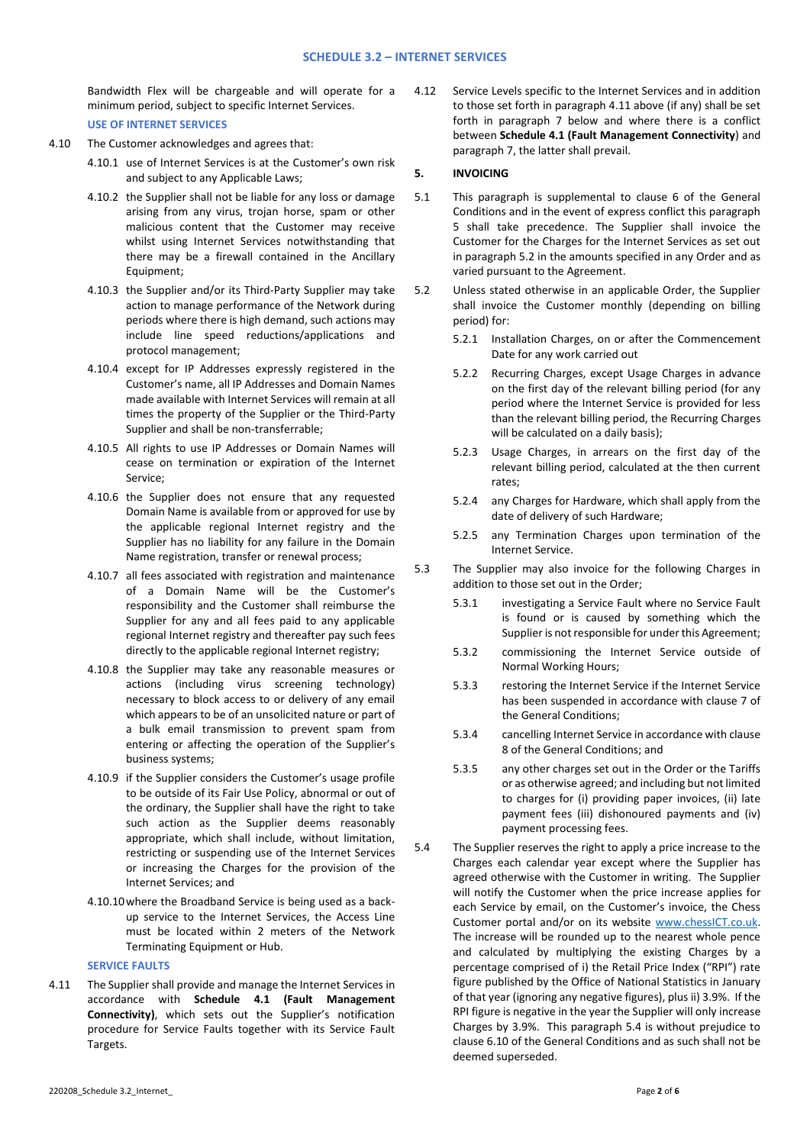Bandwidth Flex will be chargeable and will operate for a minimum period, subject to specific Internet Services. **USE OF INTERNET SERVICES**

- 4.10 The Customer acknowledges and agrees that:
	- 4.10.1 use of Internet Services is at the Customer's own risk and subject to any Applicable Laws;
	- 4.10.2 the Supplier shall not be liable for any loss or damage arising from any virus, trojan horse, spam or other malicious content that the Customer may receive whilst using Internet Services notwithstanding that there may be a firewall contained in the Ancillary Equipment;
	- 4.10.3 the Supplier and/or its Third-Party Supplier may take action to manage performance of the Network during periods where there is high demand, such actions may include line speed reductions/applications and protocol management;
	- 4.10.4 except for IP Addresses expressly registered in the Customer's name, all IP Addresses and Domain Names made available with Internet Services will remain at all times the property of the Supplier or the Third-Party Supplier and shall be non-transferrable;
	- 4.10.5 All rights to use IP Addresses or Domain Names will cease on termination or expiration of the Internet Service;
	- 4.10.6 the Supplier does not ensure that any requested Domain Name is available from or approved for use by the applicable regional Internet registry and the Supplier has no liability for any failure in the Domain Name registration, transfer or renewal process;
	- 4.10.7 all fees associated with registration and maintenance of a Domain Name will be the Customer's responsibility and the Customer shall reimburse the Supplier for any and all fees paid to any applicable regional Internet registry and thereafter pay such fees directly to the applicable regional Internet registry;
	- 4.10.8 the Supplier may take any reasonable measures or actions (including virus screening technology) necessary to block access to or delivery of any email which appears to be of an unsolicited nature or part of a bulk email transmission to prevent spam from entering or affecting the operation of the Supplier's business systems;
	- 4.10.9 if the Supplier considers the Customer's usage profile to be outside of its Fair Use Policy, abnormal or out of the ordinary, the Supplier shall have the right to take such action as the Supplier deems reasonably appropriate, which shall include, without limitation, restricting or suspending use of the Internet Services or increasing the Charges for the provision of the Internet Services; and
	- 4.10.10where the Broadband Service is being used as a backup service to the Internet Services, the Access Line must be located within 2 meters of the Network Terminating Equipment or Hub.

# **SERVICE FAULTS**

4.11 The Supplier shall provide and manage the Internet Services in accordance with **Schedule 4.1 (Fault Management Connectivity)**, which sets out the Supplier's notification procedure for Service Faults together with its Service Fault Targets.

4.12 Service Levels specific to the Internet Services and in addition to those set forth in paragraph 4.11 above (if any) shall be set forth in paragraph 7 below and where there is a conflict between **Schedule 4.1 (Fault Management Connectivity**) and paragraph 7, the latter shall prevail.

# **5. INVOICING**

- 5.1 This paragraph is supplemental to clause 6 of the General Conditions and in the event of express conflict this paragraph 5 shall take precedence. The Supplier shall invoice the Customer for the Charges for the Internet Services as set out in paragraph 5.2 in the amounts specified in any Order and as varied pursuant to the Agreement.
- 5.2 Unless stated otherwise in an applicable Order, the Supplier shall invoice the Customer monthly (depending on billing period) for:
	- 5.2.1 Installation Charges, on or after the Commencement Date for any work carried out
	- 5.2.2 Recurring Charges, except Usage Charges in advance on the first day of the relevant billing period (for any period where the Internet Service is provided for less than the relevant billing period, the Recurring Charges will be calculated on a daily basis);
	- 5.2.3 Usage Charges, in arrears on the first day of the relevant billing period, calculated at the then current rates;
	- 5.2.4 any Charges for Hardware, which shall apply from the date of delivery of such Hardware;
	- 5.2.5 any Termination Charges upon termination of the Internet Service.
- 5.3 The Supplier may also invoice for the following Charges in addition to those set out in the Order;
	- 5.3.1 investigating a Service Fault where no Service Fault is found or is caused by something which the Supplier is not responsible for under this Agreement;
	- 5.3.2 commissioning the Internet Service outside of Normal Working Hours;
	- 5.3.3 restoring the Internet Service if the Internet Service has been suspended in accordance with clause 7 of the General Conditions;
	- 5.3.4 cancelling Internet Service in accordance with clause 8 of the General Conditions; and
	- 5.3.5 any other charges set out in the Order or the Tariffs or as otherwise agreed; and including but not limited to charges for (i) providing paper invoices, (ii) late payment fees (iii) dishonoured payments and (iv) payment processing fees.
- 5.4 The Supplier reserves the right to apply a price increase to the Charges each calendar year except where the Supplier has agreed otherwise with the Customer in writing. The Supplier will notify the Customer when the price increase applies for each Service by email, on the Customer's invoice, the Chess Customer portal and/or on its website [www.chessICT.co.uk.](http://www.chessict.co.uk/) The increase will be rounded up to the nearest whole pence and calculated by multiplying the existing Charges by a percentage comprised of i) the Retail Price Index ("RPI") rate figure published by the Office of National Statistics in January of that year (ignoring any negative figures), plus ii) 3.9%. If the RPI figure is negative in the year the Supplier will only increase Charges by 3.9%. This paragraph 5.4 is without prejudice to clause 6.10 of the General Conditions and as such shall not be deemed superseded.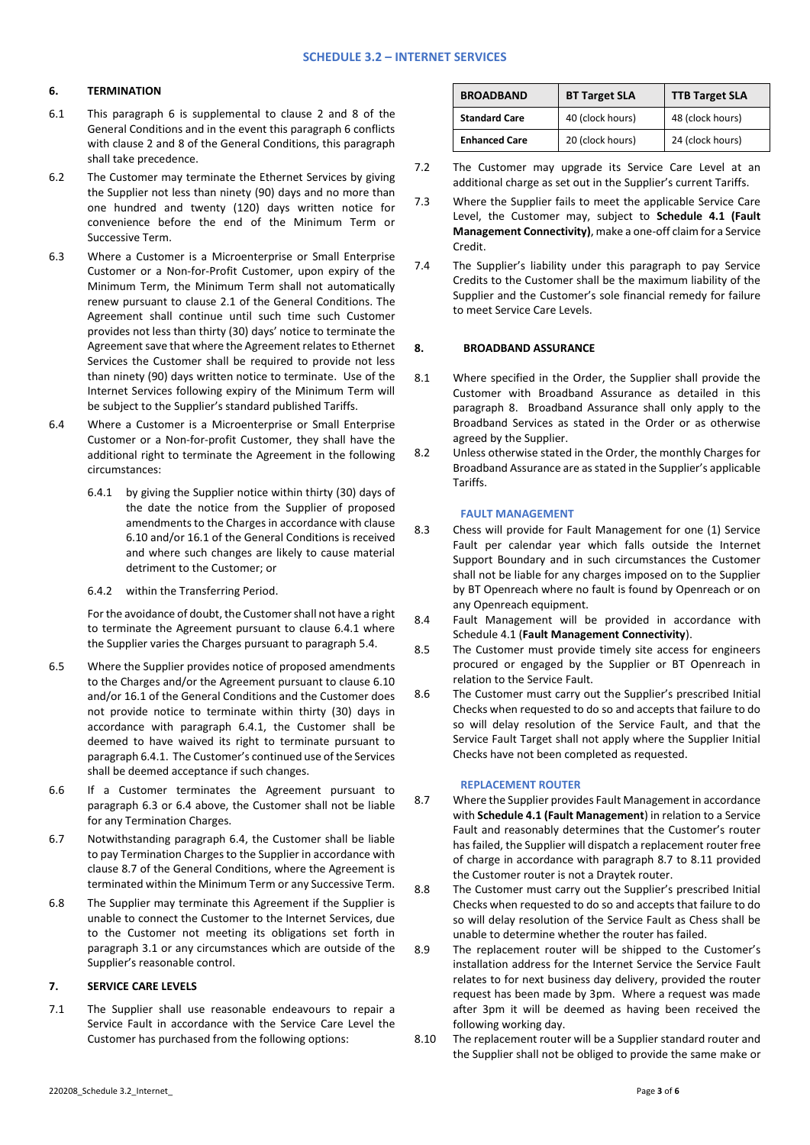## **6. TERMINATION**

- 6.1 This paragraph 6 is supplemental to clause 2 and 8 of the General Conditions and in the event this paragraph 6 conflicts with clause 2 and 8 of the General Conditions, this paragraph shall take precedence.
- 6.2 The Customer may terminate the Ethernet Services by giving the Supplier not less than ninety (90) days and no more than one hundred and twenty (120) days written notice for convenience before the end of the Minimum Term or Successive Term.
- 6.3 Where a Customer is a Microenterprise or Small Enterprise Customer or a Non-for-Profit Customer, upon expiry of the Minimum Term, the Minimum Term shall not automatically renew pursuant to clause 2.1 of the General Conditions. The Agreement shall continue until such time such Customer provides not less than thirty (30) days' notice to terminate the Agreement save that where the Agreement relates to Ethernet Services the Customer shall be required to provide not less than ninety (90) days written notice to terminate. Use of the Internet Services following expiry of the Minimum Term will be subject to the Supplier's standard published Tariffs.
- 6.4 Where a Customer is a Microenterprise or Small Enterprise Customer or a Non-for-profit Customer, they shall have the additional right to terminate the Agreement in the following circumstances:
	- 6.4.1 by giving the Supplier notice within thirty (30) days of the date the notice from the Supplier of proposed amendments to the Charges in accordance with clause 6.10 and/or 16.1 of the General Conditions is received and where such changes are likely to cause material detriment to the Customer; or
	- 6.4.2 within the Transferring Period.

For the avoidance of doubt, the Customer shall not have a right to terminate the Agreement pursuant to clause 6.4.1 where the Supplier varies the Charges pursuant to paragraph 5.4.

- 6.5 Where the Supplier provides notice of proposed amendments to the Charges and/or the Agreement pursuant to clause 6.10 and/or 16.1 of the General Conditions and the Customer does not provide notice to terminate within thirty (30) days in accordance with paragraph 6.4.1, the Customer shall be deemed to have waived its right to terminate pursuant to paragraph 6.4.1. The Customer's continued use of the Services shall be deemed acceptance if such changes.
- 6.6 If a Customer terminates the Agreement pursuant to paragraph 6.3 or 6.4 above, the Customer shall not be liable for any Termination Charges.
- 6.7 Notwithstanding paragraph 6.4, the Customer shall be liable to pay Termination Charges to the Supplier in accordance with clause 8.7 of the General Conditions, where the Agreement is terminated within the Minimum Term or any Successive Term.
- 6.8 The Supplier may terminate this Agreement if the Supplier is unable to connect the Customer to the Internet Services, due to the Customer not meeting its obligations set forth in paragraph 3.1 or any circumstances which are outside of the Supplier's reasonable control.

# **7. SERVICE CARE LEVELS**

7.1 The Supplier shall use reasonable endeavours to repair a Service Fault in accordance with the Service Care Level the Customer has purchased from the following options:

| <b>BROADBAND</b>     | <b>BT Target SLA</b> | <b>TTB Target SLA</b> |
|----------------------|----------------------|-----------------------|
| <b>Standard Care</b> | 40 (clock hours)     | 48 (clock hours)      |
| <b>Enhanced Care</b> | 20 (clock hours)     | 24 (clock hours)      |

- 7.2 The Customer may upgrade its Service Care Level at an additional charge as set out in the Supplier's current Tariffs.
- 7.3 Where the Supplier fails to meet the applicable Service Care Level, the Customer may, subject to **Schedule 4.1 (Fault Management Connectivity)**, make a one-off claim for a Service Credit.
- 7.4 The Supplier's liability under this paragraph to pay Service Credits to the Customer shall be the maximum liability of the Supplier and the Customer's sole financial remedy for failure to meet Service Care Levels.

## **8. BROADBAND ASSURANCE**

- 8.1 Where specified in the Order, the Supplier shall provide the Customer with Broadband Assurance as detailed in this paragraph 8. Broadband Assurance shall only apply to the Broadband Services as stated in the Order or as otherwise agreed by the Supplier.
- 8.2 Unless otherwise stated in the Order, the monthly Charges for Broadband Assurance are as stated in the Supplier's applicable Tariffs.

## **FAULT MANAGEMENT**

- 8.3 Chess will provide for Fault Management for one (1) Service Fault per calendar year which falls outside the Internet Support Boundary and in such circumstances the Customer shall not be liable for any charges imposed on to the Supplier by BT Openreach where no fault is found by Openreach or on any Openreach equipment.
- 8.4 Fault Management will be provided in accordance with Schedule 4.1 (**Fault Management Connectivity**).
- 8.5 The Customer must provide timely site access for engineers procured or engaged by the Supplier or BT Openreach in relation to the Service Fault.
- 8.6 The Customer must carry out the Supplier's prescribed Initial Checks when requested to do so and accepts that failure to do so will delay resolution of the Service Fault, and that the Service Fault Target shall not apply where the Supplier Initial Checks have not been completed as requested.

#### **REPLACEMENT ROUTER**

- 8.7 Where the Supplier provides Fault Management in accordance with **Schedule 4.1 (Fault Management**) in relation to a Service Fault and reasonably determines that the Customer's router has failed, the Supplier will dispatch a replacement router free of charge in accordance with paragraph 8.7 to 8.11 provided the Customer router is not a Draytek router.
- 8.8 The Customer must carry out the Supplier's prescribed Initial Checks when requested to do so and accepts that failure to do so will delay resolution of the Service Fault as Chess shall be unable to determine whether the router has failed.
- 8.9 The replacement router will be shipped to the Customer's installation address for the Internet Service the Service Fault relates to for next business day delivery, provided the router request has been made by 3pm. Where a request was made after 3pm it will be deemed as having been received the following working day.
- 8.10 The replacement router will be a Supplier standard router and the Supplier shall not be obliged to provide the same make or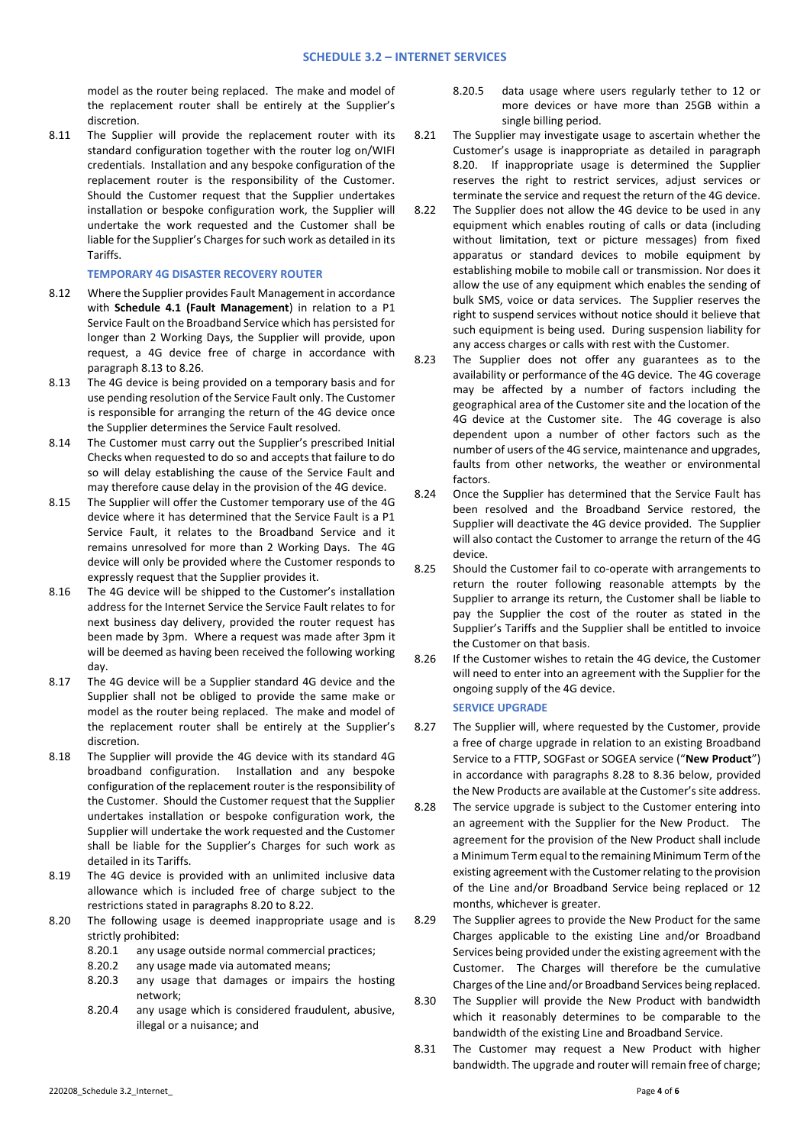model as the router being replaced. The make and model of the replacement router shall be entirely at the Supplier's discretion.

8.11 The Supplier will provide the replacement router with its standard configuration together with the router log on/WIFI credentials. Installation and any bespoke configuration of the replacement router is the responsibility of the Customer. Should the Customer request that the Supplier undertakes installation or bespoke configuration work, the Supplier will undertake the work requested and the Customer shall be liable for the Supplier's Charges for such work as detailed in its Tariffs.

## **TEMPORARY 4G DISASTER RECOVERY ROUTER**

- 8.12 Where the Supplier provides Fault Management in accordance with **Schedule 4.1 (Fault Management**) in relation to a P1 Service Fault on the Broadband Service which has persisted for longer than 2 Working Days, the Supplier will provide, upon request, a 4G device free of charge in accordance with paragraph 8.13 to 8.26.
- 8.13 The 4G device is being provided on a temporary basis and for use pending resolution of the Service Fault only. The Customer is responsible for arranging the return of the 4G device once the Supplier determines the Service Fault resolved.
- 8.14 The Customer must carry out the Supplier's prescribed Initial Checks when requested to do so and accepts that failure to do so will delay establishing the cause of the Service Fault and may therefore cause delay in the provision of the 4G device.
- 8.15 The Supplier will offer the Customer temporary use of the 4G device where it has determined that the Service Fault is a P1 Service Fault, it relates to the Broadband Service and it remains unresolved for more than 2 Working Days. The 4G device will only be provided where the Customer responds to expressly request that the Supplier provides it.
- 8.16 The 4G device will be shipped to the Customer's installation address for the Internet Service the Service Fault relates to for next business day delivery, provided the router request has been made by 3pm. Where a request was made after 3pm it will be deemed as having been received the following working day.
- 8.17 The 4G device will be a Supplier standard 4G device and the Supplier shall not be obliged to provide the same make or model as the router being replaced. The make and model of the replacement router shall be entirely at the Supplier's discretion.
- 8.18 The Supplier will provide the 4G device with its standard 4G broadband configuration. Installation and any bespoke configuration of the replacement router is the responsibility of the Customer. Should the Customer request that the Supplier undertakes installation or bespoke configuration work, the Supplier will undertake the work requested and the Customer shall be liable for the Supplier's Charges for such work as detailed in its Tariffs.
- 8.19 The 4G device is provided with an unlimited inclusive data allowance which is included free of charge subject to the restrictions stated in paragraphs 8.20 to 8.22.
- 8.20 The following usage is deemed inappropriate usage and is strictly prohibited:
	- 8.20.1 any usage outside normal commercial practices;
	- 8.20.2 any usage made via automated means;
	- 8.20.3 any usage that damages or impairs the hosting network;
	- 8.20.4 any usage which is considered fraudulent, abusive, illegal or a nuisance; and
- 8.20.5 data usage where users regularly tether to 12 or more devices or have more than 25GB within a single billing period.
- 8.21 The Supplier may investigate usage to ascertain whether the Customer's usage is inappropriate as detailed in paragraph 8.20. If inappropriate usage is determined the Supplier reserves the right to restrict services, adjust services or terminate the service and request the return of the 4G device.
- 8.22 The Supplier does not allow the 4G device to be used in any equipment which enables routing of calls or data (including without limitation, text or picture messages) from fixed apparatus or standard devices to mobile equipment by establishing mobile to mobile call or transmission. Nor does it allow the use of any equipment which enables the sending of bulk SMS, voice or data services. The Supplier reserves the right to suspend services without notice should it believe that such equipment is being used. During suspension liability for any access charges or calls with rest with the Customer.
- 8.23 The Supplier does not offer any guarantees as to the availability or performance of the 4G device. The 4G coverage may be affected by a number of factors including the geographical area of the Customer site and the location of the 4G device at the Customer site. The 4G coverage is also dependent upon a number of other factors such as the number of users of the 4G service, maintenance and upgrades, faults from other networks, the weather or environmental factors.
- 8.24 Once the Supplier has determined that the Service Fault has been resolved and the Broadband Service restored, the Supplier will deactivate the 4G device provided. The Supplier will also contact the Customer to arrange the return of the 4G device.
- 8.25 Should the Customer fail to co-operate with arrangements to return the router following reasonable attempts by the Supplier to arrange its return, the Customer shall be liable to pay the Supplier the cost of the router as stated in the Supplier's Tariffs and the Supplier shall be entitled to invoice the Customer on that basis.
- 8.26 If the Customer wishes to retain the 4G device, the Customer will need to enter into an agreement with the Supplier for the ongoing supply of the 4G device.

# **SERVICE UPGRADE**

- 8.27 The Supplier will, where requested by the Customer, provide a free of charge upgrade in relation to an existing Broadband Service to a FTTP, SOGFast or SOGEA service ("**New Product**") in accordance with paragraphs 8.28 to 8.36 below, provided the New Products are available at the Customer's site address.
- 8.28 The service upgrade is subject to the Customer entering into an agreement with the Supplier for the New Product. The agreement for the provision of the New Product shall include a Minimum Term equal to the remaining Minimum Term of the existing agreement with the Customer relating to the provision of the Line and/or Broadband Service being replaced or 12 months, whichever is greater.
- 8.29 The Supplier agrees to provide the New Product for the same Charges applicable to the existing Line and/or Broadband Services being provided under the existing agreement with the Customer. The Charges will therefore be the cumulative Charges of the Line and/or Broadband Services being replaced.
- 8.30 The Supplier will provide the New Product with bandwidth which it reasonably determines to be comparable to the bandwidth of the existing Line and Broadband Service.
- 8.31 The Customer may request a New Product with higher bandwidth. The upgrade and router will remain free of charge;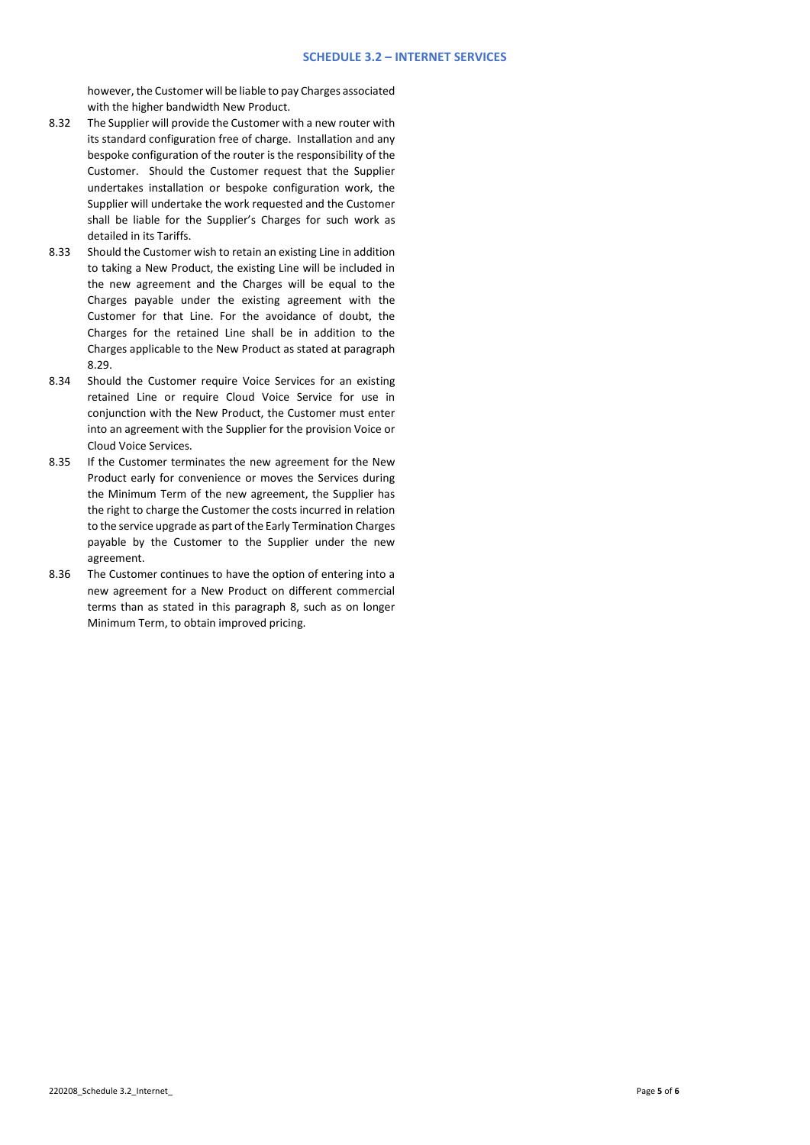however, the Customer will be liable to pay Charges associated with the higher bandwidth New Product.

- 8.32 The Supplier will provide the Customer with a new router with its standard configuration free of charge. Installation and any bespoke configuration of the router is the responsibility of the Customer. Should the Customer request that the Supplier undertakes installation or bespoke configuration work, the Supplier will undertake the work requested and the Customer shall be liable for the Supplier's Charges for such work as detailed in its Tariffs.
- 8.33 Should the Customer wish to retain an existing Line in addition to taking a New Product, the existing Line will be included in the new agreement and the Charges will be equal to the Charges payable under the existing agreement with the Customer for that Line. For the avoidance of doubt, the Charges for the retained Line shall be in addition to the Charges applicable to the New Product as stated at paragraph 8.29.
- 8.34 Should the Customer require Voice Services for an existing retained Line or require Cloud Voice Service for use in conjunction with the New Product, the Customer must enter into an agreement with the Supplier for the provision Voice or Cloud Voice Services.
- 8.35 If the Customer terminates the new agreement for the New Product early for convenience or moves the Services during the Minimum Term of the new agreement, the Supplier has the right to charge the Customer the costs incurred in relation to the service upgrade as part of the Early Termination Charges payable by the Customer to the Supplier under the new agreement.
- 8.36 The Customer continues to have the option of entering into a new agreement for a New Product on different commercial terms than as stated in this paragraph 8, such as on longer Minimum Term, to obtain improved pricing.